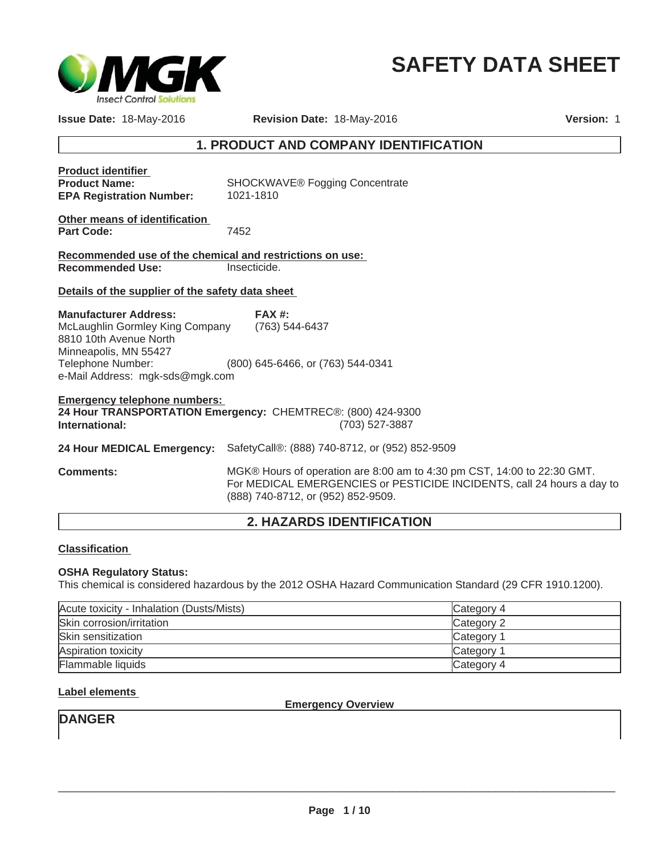

# **SAFETY DATA SHEET**

**Issue Date:** 18-May-2016 **Revision Date:** 18-May-2016

**Version:** 1

# **1. PRODUCT AND COMPANY IDENTIFICATION**

| <b>Product identifier</b><br><b>Product Name:</b><br><b>EPA Registration Number:</b>                                                   | <b>SHOCKWAVE® Fogging Concentrate</b><br>1021-1810       |  |
|----------------------------------------------------------------------------------------------------------------------------------------|----------------------------------------------------------|--|
| Other means of identification<br><b>Part Code:</b>                                                                                     | 7452                                                     |  |
| Recommended use of the chemical and restrictions on use:                                                                               |                                                          |  |
| <b>Recommended Use:</b>                                                                                                                | Insecticide.                                             |  |
| Details of the supplier of the safety data sheet                                                                                       |                                                          |  |
| <b>Manufacturer Address:</b><br>McLaughlin Gormley King Company<br>8810 10th Avenue North<br>Minneapolis, MN 55427                     | FAX#<br>(763) 544-6437                                   |  |
| Telephone Number:<br>e-Mail Address: mgk-sds@mgk.com                                                                                   | (800) 645-6466, or (763) 544-0341                        |  |
| <b>Emergency telephone numbers:</b><br>24 Hour TRANSPORTATION Emergency: CHEMTREC®: (800) 424-9300<br>(703) 527-3887<br>International: |                                                          |  |
| 24 Hour MEDICAL Emergency:                                                                                                             | SafetyCall®: (888) 740-8712, or (952) 852-9509           |  |
| <b>Comments:</b>                                                                                                                       | MGK® Hours of operation are 8:00 am to 4:30 pm CST, 14:0 |  |

0 to 22:30 GMT. For MEDICAL EMERGENCIES or PESTICIDE INCIDENTS, call 24 hours a day to (888) 740-8712, or (952) 852-9509.

# **2. HAZARDS IDENTIFICATION**

#### **Classification**

#### **OSHA Regulatory Status:**

This chemical is considered hazardous by the 2012 OSHA Hazard Communication Standard (29 CFR 1910.1200).

| Acute toxicity - Inhalation (Dusts/Mists) | Category 4 |
|-------------------------------------------|------------|
| Skin corrosion/irritation                 | Category 2 |
| Skin sensitization                        | Category 1 |
| Aspiration toxicity                       | Category 1 |
| Flammable liquids                         | Category 4 |

#### **Label elements**

**Emergency Overview**

# **DANGER**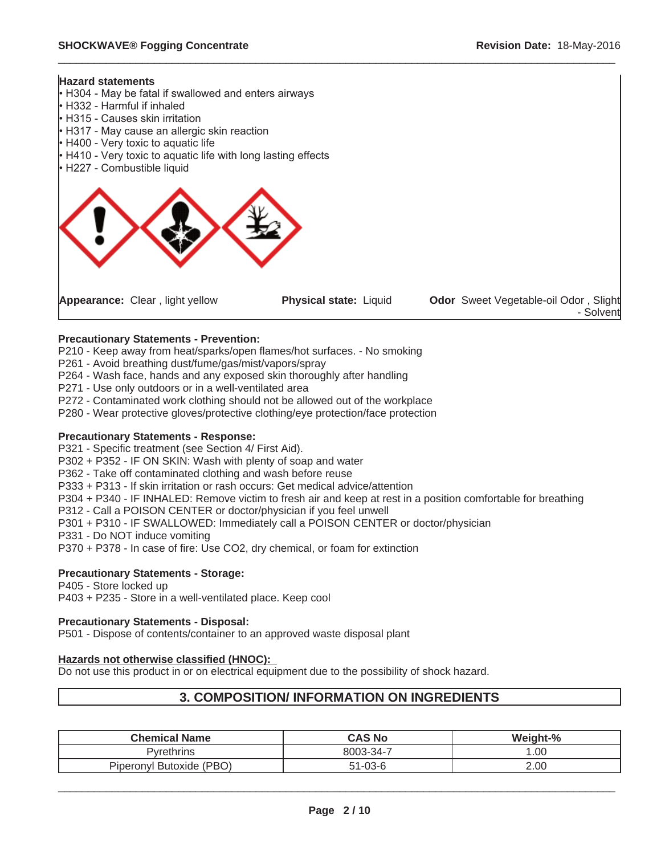

#### **Precautionary Statements - Prevention:**

P210 - Keep away from heat/sparks/open flames/hot surfaces. - No smoking

P261 - Avoid breathing dust/fume/gas/mist/vapors/spray

P264 - Wash face, hands and any exposed skin thoroughly after handling

P271 - Use only outdoors or in a well-ventilated area

P272 - Contaminated work clothing should not be allowed out of the workplace

P280 - Wear protective gloves/protective clothing/eye protection/face protection

#### **Precautionary Statements - Response:**

P321 - Specific treatment (see Section 4/ First Aid).

P302 + P352 - IF ON SKIN: Wash with plenty of soap and water

P362 - Take off contaminated clothing and wash before reuse

P333 + P313 - If skin irritation or rash occurs: Get medical advice/attention

P304 + P340 - IF INHALED: Remove victim to fresh air and keep at rest in a position comfortable for breathing

P312 - Call a POISON CENTER or doctor/physician if you feel unwell

P301 + P310 - IF SWALLOWED: Immediately call a POISON CENTER or doctor/physician

P331 - Do NOT induce vomiting

P370 + P378 - In case of fire: Use CO2, dry chemical, or foam for extinction

#### **Precautionary Statements - Storage:**

P405 - Store locked up P403 + P235 - Store in a well-ventilated place. Keep cool

#### **Precautionary Statements - Disposal:**

P501 - Dispose of contents/container to an approved waste disposal plant

#### **Hazards not otherwise classified (HNOC):**

Do not use this product in or on electrical equipment due to the possibility of shock hazard.

# **3. COMPOSITION/ INFORMATION ON INGREDIENTS**

| <b>Chemical Name</b>     | <b>CAS No</b> | Weight-% |
|--------------------------|---------------|----------|
| Pvrethrins               | 8003-34-7     | .00      |
| Piperonyl Butoxide (PBO) | $51 - 03 - 6$ | 2.00     |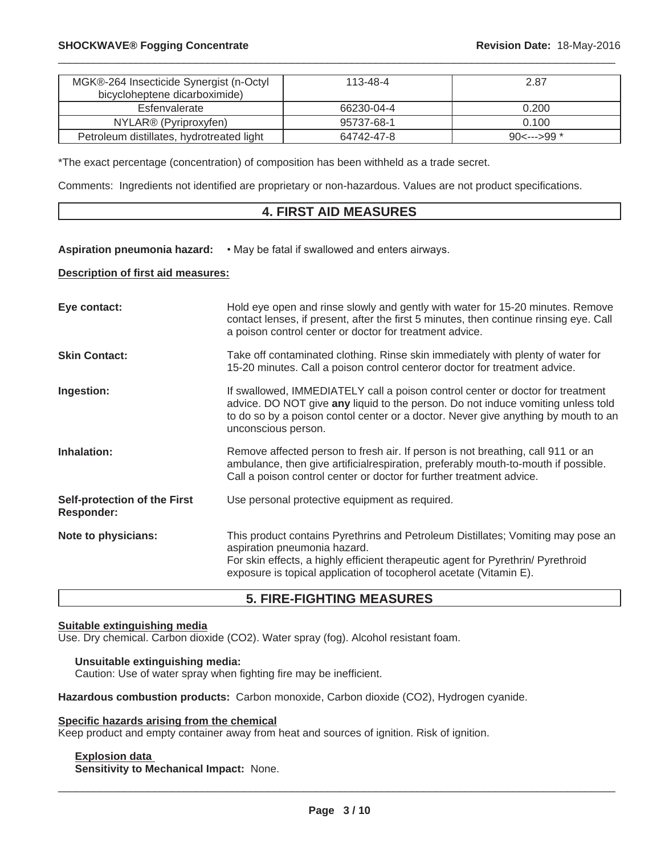| MGK®-264 Insecticide Synergist (n-Octyl<br>bicycloheptene dicarboximide) | 113-48-4   | 2.87  |
|--------------------------------------------------------------------------|------------|-------|
| Esfenvalerate                                                            | 66230-04-4 | 0.200 |
| NYLAR <sup>®</sup> (Pyriproxyfen)                                        | 95737-68-1 | 0.100 |
| Petroleum distillates, hydrotreated light                                | 64742-47-8 |       |

\*The exact percentage (concentration) of composition has been withheld as a trade secret.

Comments: Ingredients not identified are proprietary or non-hazardous. Values are not product specifications.

### **4. FIRST AID MEASURES**

Aspiration pneumonia hazard:  $\cdot$  May be fatal if swallowed and enters airways.

#### **Description of first aid measures:**

| Eye contact:                                             | Hold eye open and rinse slowly and gently with water for 15-20 minutes. Remove<br>contact lenses, if present, after the first 5 minutes, then continue rinsing eye. Call<br>a poison control center or doctor for treatment advice.                                             |
|----------------------------------------------------------|---------------------------------------------------------------------------------------------------------------------------------------------------------------------------------------------------------------------------------------------------------------------------------|
| <b>Skin Contact:</b>                                     | Take off contaminated clothing. Rinse skin immediately with plenty of water for<br>15-20 minutes. Call a poison control centeror doctor for treatment advice.                                                                                                                   |
| Ingestion:                                               | If swallowed, IMMEDIATELY call a poison control center or doctor for treatment<br>advice. DO NOT give any liquid to the person. Do not induce vomiting unless told<br>to do so by a poison contol center or a doctor. Never give anything by mouth to an<br>unconscious person. |
| Inhalation:                                              | Remove affected person to fresh air. If person is not breathing, call 911 or an<br>ambulance, then give artificialrespiration, preferably mouth-to-mouth if possible.<br>Call a poison control center or doctor for further treatment advice.                                   |
| <b>Self-protection of the First</b><br><b>Responder:</b> | Use personal protective equipment as required.                                                                                                                                                                                                                                  |
| Note to physicians:                                      | This product contains Pyrethrins and Petroleum Distillates; Vomiting may pose an<br>aspiration pneumonia hazard.<br>For skin effects, a highly efficient therapeutic agent for Pyrethrin/ Pyrethroid<br>exposure is topical application of tocopherol acetate (Vitamin E).      |

# **5. FIRE-FIGHTING MEASURES**

#### **Suitable extinguishing media**

Use. Dry chemical. Carbon dioxide (CO2). Water spray (fog). Alcohol resistant foam.

#### **Unsuitable extinguishing media:**

Caution: Use of water spray when fighting fire may be inefficient.

Hazardous combustion products: Carbon monoxide, Carbon dioxide (CO2), Hydrogen cyanide.

#### **Specific hazards arising from the chemical**

Keep product and empty container away from heat and sources of ignition. Risk of ignition.

#### **Explosion data**

**Sensitivity to Mechanical Impact:** None.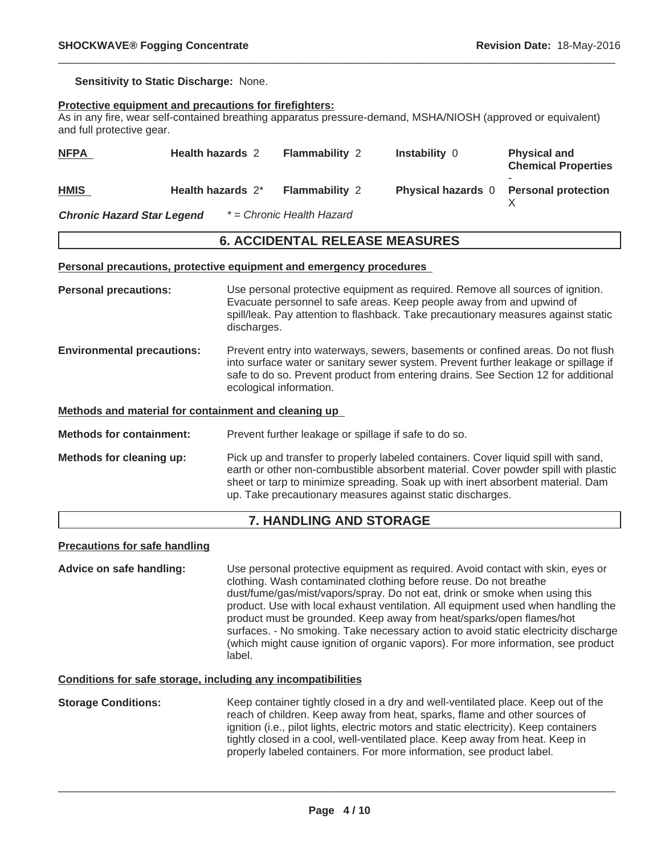**Sensitivity to Static Discharge:** None.

#### **Protective equipment and precautions for firefighters:**

As in any fire, wear self-contained breathing apparatus pressure-demand, MSHA/NIOSH (approved or equivalent) and full protective gear.

 $\_$  ,  $\_$  ,  $\_$  ,  $\_$  ,  $\_$  ,  $\_$  ,  $\_$  ,  $\_$  ,  $\_$  ,  $\_$  ,  $\_$  ,  $\_$  ,  $\_$  ,  $\_$  ,  $\_$  ,  $\_$  ,  $\_$  ,  $\_$  ,  $\_$  ,  $\_$  ,  $\_$  ,  $\_$  ,  $\_$  ,  $\_$  ,  $\_$  ,  $\_$  ,  $\_$  ,  $\_$  ,  $\_$  ,  $\_$  ,  $\_$  ,  $\_$  ,  $\_$  ,  $\_$  ,  $\_$  ,  $\_$  ,  $\_$  ,

| <b>NFPA</b>                       | <b>Health hazards 2</b> | <b>Flammability 2</b>     | <b>Instability 0</b>      | <b>Physical and</b><br><b>Chemical Properties</b> |
|-----------------------------------|-------------------------|---------------------------|---------------------------|---------------------------------------------------|
| <b>HMIS</b>                       | Health hazards 2*       | <b>Flammability 2</b>     | <b>Physical hazards</b> 0 | <b>Personal protection</b>                        |
| <b>Chronic Hazard Star Legend</b> |                         | * = Chronic Health Hazard |                           |                                                   |

#### **6. ACCIDENTAL RELEASE MEASURES**

**Personal precautions, protective equipment and emergency procedures**

**Personal precautions:** Use personal protective equipment as required. Remove all sources of ignition. Evacuate personnel to safe areas. Keep people away from and upwind of spill/leak. Pay attention to flashback. Take precautionary measures against static discharges. **Environmental precautions:** Prevent entry into waterways, sewers, basements or confined areas. Do not flush into surface water or sanitary sewer system. Prevent further leakage or spillage if safe to do so. Prevent product from entering drains. See Section 12 for additional ecological information. **Methods and material for containment and cleaning up Methods for containment:** Prevent further leakage or spillage if safe to do so. **Methods for cleaning up:** Pick up and transfer to properly labeled containers. Cover liquid spill with sand, earth or other non-combustible absorbent material. Cover powder spill with plastic sheet or tarp to minimize spreading. Soak up with inert absorbent material. Dam up. Take precautionary measures against static discharges.

#### **7. HANDLING AND STORAGE**

#### **Precautions for safe handling**

**Advice on safe handling:** Use personal protective equipment as required. Avoid contact with skin, eyes or clothing. Wash contaminated clothing before reuse. Do not breathe dust/fume/gas/mist/vapors/spray. Do not eat, drink or smoke when using this product. Use with local exhaust ventilation. All equipment used when handling the product must be grounded. Keep away from heat/sparks/open flames/hot surfaces. - No smoking. Take necessary action to avoid static electricity discharge (which might cause ignition of organic vapors). For more information, see product label.

#### **Conditions for safe storage, including any incompatibilities**

**Storage Conditions:** Keep container tightly closed in a dry and well-ventilated place. Keep out of the reach of children. Keep away from heat, sparks, flame and other sources of ignition (i.e., pilot lights, electric motors and static electricity). Keep containers tightly closed in a cool, well-ventilated place. Keep away from heat. Keep in properly labeled containers. For more information, see product label.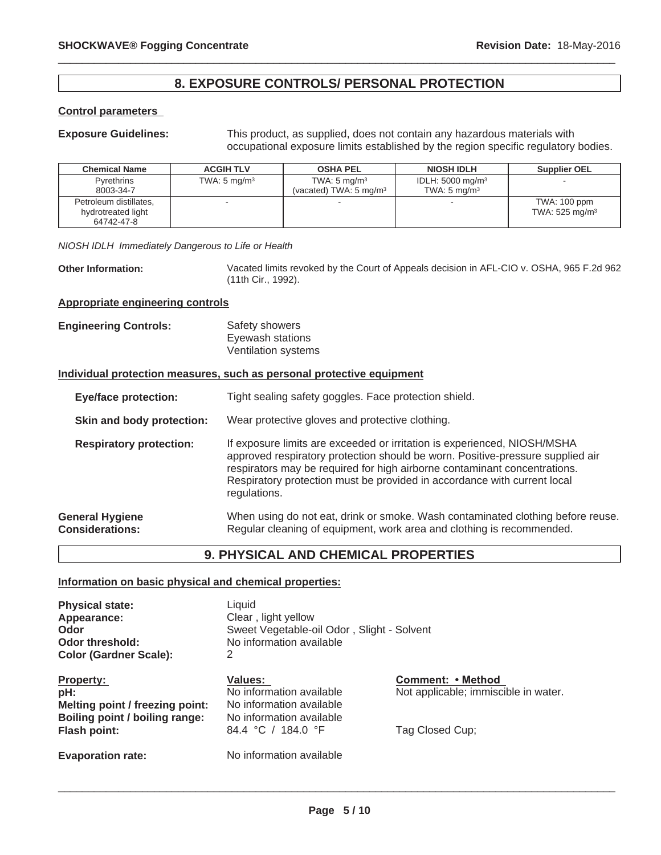## **8. EXPOSURE CONTROLS/ PERSONAL PROTECTION**

 $\_$  ,  $\_$  ,  $\_$  ,  $\_$  ,  $\_$  ,  $\_$  ,  $\_$  ,  $\_$  ,  $\_$  ,  $\_$  ,  $\_$  ,  $\_$  ,  $\_$  ,  $\_$  ,  $\_$  ,  $\_$  ,  $\_$  ,  $\_$  ,  $\_$  ,  $\_$  ,  $\_$  ,  $\_$  ,  $\_$  ,  $\_$  ,  $\_$  ,  $\_$  ,  $\_$  ,  $\_$  ,  $\_$  ,  $\_$  ,  $\_$  ,  $\_$  ,  $\_$  ,  $\_$  ,  $\_$  ,  $\_$  ,  $\_$  ,

#### **Control parameters**

**Exposure Guidelines:** This product, as supplied, does not contain any hazardous materials with occupational exposure limits established by the region specific regulatory bodies.

| <b>Chemical Name</b>                                       | <b>ACGIH TLV</b>        | <b>OSHA PEL</b>                                              | <b>NIOSH IDLH</b>                                      | <b>Supplier OEL</b>                          |
|------------------------------------------------------------|-------------------------|--------------------------------------------------------------|--------------------------------------------------------|----------------------------------------------|
| <b>Pyrethrins</b><br>8003-34-7                             | TWA: $5 \text{ mg/m}^3$ | TWA: $5 \text{ mg/m}^3$<br>(vacated) TWA: $5 \text{ mg/m}^3$ | IDLH: $5000 \text{ mg/m}^3$<br>TWA: $5 \text{ mg/m}^3$ |                                              |
| Petroleum distillates,<br>hydrotreated light<br>64742-47-8 | $\sim$                  |                                                              |                                                        | TWA: 100 ppm<br>TWA: $525$ mg/m <sup>3</sup> |

*NIOSH IDLH Immediately Dangerous to Life or Health*

**Other Information:** Vacated limits revoked by the Court of Appeals decision in AFL-CIO v. OSHA, 965 F.2d 962 (11th Cir., 1992).

#### **Appropriate engineering controls**

**Engineering Controls:** Safety showers Eyewash stations Ventilation systems

#### **Individual protection measures, such as personal protective equipment**

**Eye/face protection:** Tight sealing safety goggles. Face protection shield. **Skin and body protection:** Wear protective gloves and protective clothing. **Respiratory protection:** If exposure limits are exceeded or irritation is experienced, NIOSH/MSHA approved respiratory protection should be worn. Positive-pressure supplied air respirators may be required for high airborne contaminant concentrations. Respiratory protection must be provided in accordance with current local regulations. **General Hygiene Considerations:** When using do not eat, drink or smoke. Wash contaminated clothing before reuse. Regular cleaning of equipment, work area and clothing is recommended.

# **9. PHYSICAL AND CHEMICAL PROPERTIES**

#### **Information on basic physical and chemical properties:**

| <b>Physical state:</b><br>Appearance:<br>Odor<br>Odor threshold:  | Liquid<br>Clear, light yellow<br>Sweet Vegetable-oil Odor, Slight - Solvent<br>No information available |                                                           |
|-------------------------------------------------------------------|---------------------------------------------------------------------------------------------------------|-----------------------------------------------------------|
| <b>Color (Gardner Scale):</b>                                     | 2                                                                                                       |                                                           |
| <b>Property:</b><br>pH:                                           | Values:<br>No information available                                                                     | Comment: • Method<br>Not applicable; immiscible in water. |
| Melting point / freezing point:<br>Boiling point / boiling range: | No information available<br>No information available                                                    |                                                           |
| <b>Flash point:</b>                                               | 84.4 °C / 184.0 °F                                                                                      | Tag Closed Cup;                                           |
| <b>Evaporation rate:</b>                                          | No information available                                                                                |                                                           |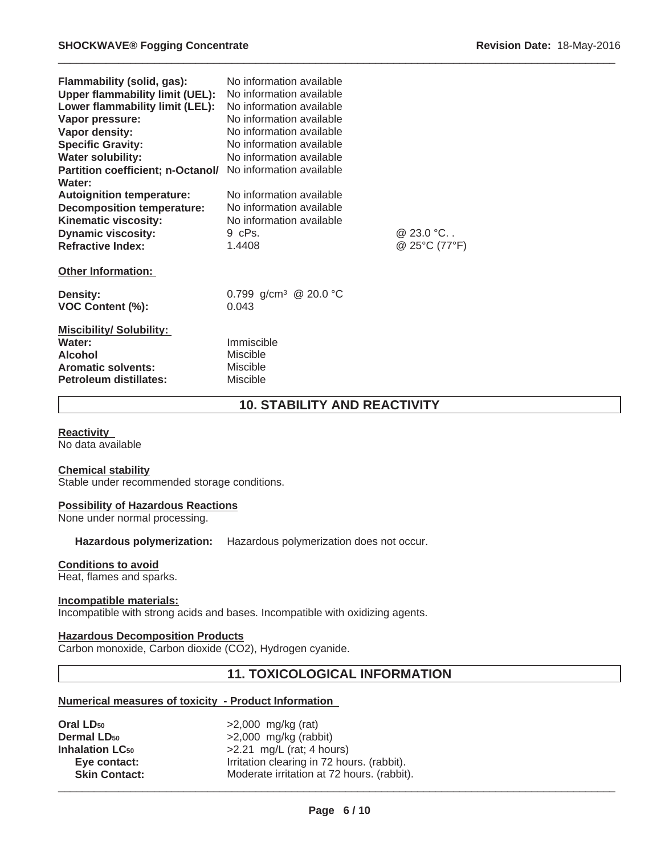| Flammability (solid, gas):<br><b>Upper flammability limit (UEL):</b><br>Lower flammability limit (LEL):<br>Vapor pressure:<br>Vapor density:<br><b>Specific Gravity:</b><br><b>Water solubility:</b> | No information available<br>No information available<br>No information available<br>No information available<br>No information available<br>No information available<br>No information available |                                 |
|------------------------------------------------------------------------------------------------------------------------------------------------------------------------------------------------------|--------------------------------------------------------------------------------------------------------------------------------------------------------------------------------------------------|---------------------------------|
| <b>Partition coefficient; n-Octanol/</b><br>Water:                                                                                                                                                   | No information available                                                                                                                                                                         |                                 |
| <b>Autoignition temperature:</b><br><b>Decomposition temperature:</b><br>Kinematic viscosity:<br><b>Dynamic viscosity:</b><br><b>Refractive Index:</b><br><b>Other Information:</b>                  | No information available<br>No information available<br>No information available<br>9 cPs.<br>1.4408                                                                                             | @ $23.0 °C.$ .<br>@ 25°C (77°F) |
| <b>Density:</b><br><b>VOC Content (%):</b>                                                                                                                                                           | 0.799 g/cm <sup>3</sup> @ 20.0 °C<br>0.043                                                                                                                                                       |                                 |
| <b>Miscibility/Solubility:</b><br>Water:<br><b>Alcohol</b><br><b>Aromatic solvents:</b><br>Petroleum distillates:                                                                                    | Immiscible<br><b>Miscible</b><br><b>Miscible</b><br>Miscible                                                                                                                                     |                                 |

# **10. STABILITY AND REACTIVITY**

 $\_$  ,  $\_$  ,  $\_$  ,  $\_$  ,  $\_$  ,  $\_$  ,  $\_$  ,  $\_$  ,  $\_$  ,  $\_$  ,  $\_$  ,  $\_$  ,  $\_$  ,  $\_$  ,  $\_$  ,  $\_$  ,  $\_$  ,  $\_$  ,  $\_$  ,  $\_$  ,  $\_$  ,  $\_$  ,  $\_$  ,  $\_$  ,  $\_$  ,  $\_$  ,  $\_$  ,  $\_$  ,  $\_$  ,  $\_$  ,  $\_$  ,  $\_$  ,  $\_$  ,  $\_$  ,  $\_$  ,  $\_$  ,  $\_$  ,

#### **Reactivity**

No data available

#### **Chemical stability**

Stable under recommended storage conditions.

#### **Possibility of Hazardous Reactions**

None under normal processing.

#### **Hazardous polymerization:** Hazardous polymerization does not occur.

#### **Conditions to avoid**

Heat, flames and sparks.

#### **Incompatible materials:**

Incompatible with strong acids and bases. Incompatible with oxidizing agents.

### **Hazardous Decomposition Products**

Carbon monoxide, Carbon dioxide (CO2), Hydrogen cyanide.

# **11. TOXICOLOGICAL INFORMATION**

### **Numerical measures of toxicity - Product Information**

| Oral LD <sub>50</sub>             | $>2,000$ mg/kg (rat)                       |
|-----------------------------------|--------------------------------------------|
| <b>Dermal LD<sub>50</sub></b>     | $>2,000$ mg/kg (rabbit)                    |
| <b>Inhalation LC<sub>50</sub></b> | $>2.21$ mg/L (rat; 4 hours)                |
| Eye contact:                      | Irritation clearing in 72 hours. (rabbit). |
| <b>Skin Contact:</b>              | Moderate irritation at 72 hours. (rabbit). |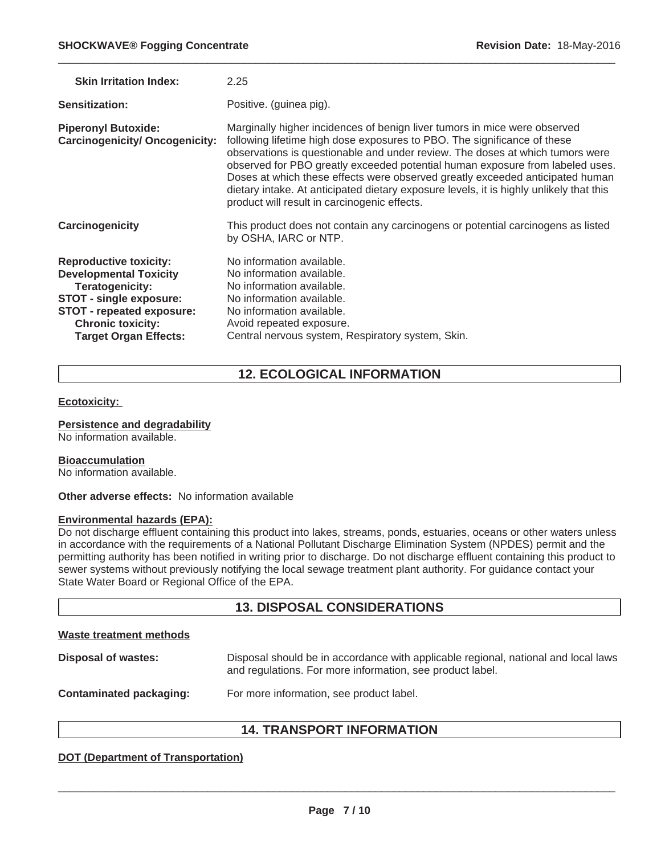| <b>Skin Irritation Index:</b>                                                                                                                                                                                | 2.25                                                                                                                                                                                                                                                                                                                                                                                                                                                                                                                                                |
|--------------------------------------------------------------------------------------------------------------------------------------------------------------------------------------------------------------|-----------------------------------------------------------------------------------------------------------------------------------------------------------------------------------------------------------------------------------------------------------------------------------------------------------------------------------------------------------------------------------------------------------------------------------------------------------------------------------------------------------------------------------------------------|
| Sensitization:                                                                                                                                                                                               | Positive. (guinea pig).                                                                                                                                                                                                                                                                                                                                                                                                                                                                                                                             |
| <b>Piperonyl Butoxide:</b><br><b>Carcinogenicity/ Oncogenicity:</b>                                                                                                                                          | Marginally higher incidences of benign liver tumors in mice were observed<br>following lifetime high dose exposures to PBO. The significance of these<br>observations is questionable and under review. The doses at which tumors were<br>observed for PBO greatly exceeded potential human exposure from labeled uses.<br>Doses at which these effects were observed greatly exceeded anticipated human<br>dietary intake. At anticipated dietary exposure levels, it is highly unlikely that this<br>product will result in carcinogenic effects. |
| Carcinogenicity                                                                                                                                                                                              | This product does not contain any carcinogens or potential carcinogens as listed<br>by OSHA, IARC or NTP.                                                                                                                                                                                                                                                                                                                                                                                                                                           |
| <b>Reproductive toxicity:</b><br><b>Developmental Toxicity</b><br>Teratogenicity:<br>STOT - single exposure:<br><b>STOT - repeated exposure:</b><br><b>Chronic toxicity:</b><br><b>Target Organ Effects:</b> | No information available.<br>No information available.<br>No information available.<br>No information available.<br>No information available.<br>Avoid repeated exposure.<br>Central nervous system, Respiratory system, Skin.                                                                                                                                                                                                                                                                                                                      |

# **12. ECOLOGICAL INFORMATION**

#### **Ecotoxicity:**

#### **Persistence and degradability**

No information available.

#### **Bioaccumulation**

No information available.

**Other adverse effects:** No information available

#### **Environmental hazards (EPA):**

Do not discharge effluent containing this product into lakes, streams, ponds, estuaries, oceans or other waters unless in accordance with the requirements of a National Pollutant Discharge Elimination System (NPDES) permit and the permitting authority has been notified in writing prior to discharge. Do not discharge effluent containing this product to sewer systems without previously notifying the local sewage treatment plant authority. For guidance contact your State Water Board or Regional Office of the EPA.

# **13. DISPOSAL CONSIDERATIONS**

### **Waste treatment methods**

| Disposal of wastes:     | Disposal should be in accordance with applicable regional, national and local laws<br>and regulations. For more information, see product label. |
|-------------------------|-------------------------------------------------------------------------------------------------------------------------------------------------|
| Contaminated packaging: | For more information, see product label.                                                                                                        |

# **14. TRANSPORT INFORMATION**

### **DOT (Department of Transportation)**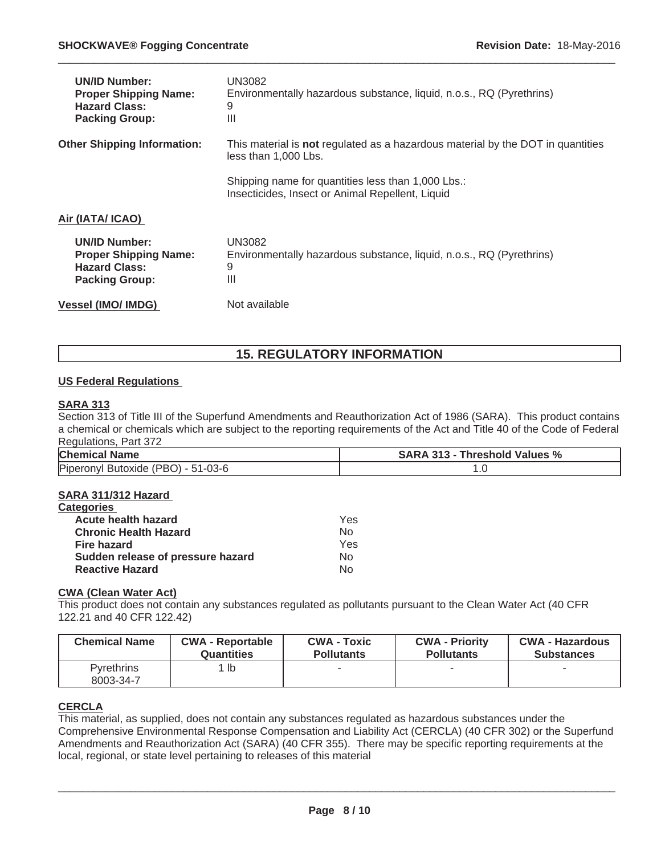| <b>UN/ID Number:</b><br><b>Proper Shipping Name:</b><br><b>Hazard Class:</b><br><b>Packing Group:</b> | UN3082<br>Environmentally hazardous substance, liquid, n.o.s., RQ (Pyrethrins)<br>9<br>Ш                       |
|-------------------------------------------------------------------------------------------------------|----------------------------------------------------------------------------------------------------------------|
| <b>Other Shipping Information:</b>                                                                    | This material is <b>not</b> regulated as a hazardous material by the DOT in quantities<br>less than 1,000 Lbs. |
|                                                                                                       | Shipping name for quantities less than 1,000 Lbs.:<br>Insecticides, Insect or Animal Repellent, Liquid         |
| Air (IATA/ ICAO)                                                                                      |                                                                                                                |
| <b>UN/ID Number:</b><br><b>Proper Shipping Name:</b><br><b>Hazard Class:</b><br><b>Packing Group:</b> | <b>UN3082</b><br>Environmentally hazardous substance, liquid, n.o.s., RQ (Pyrethrins)<br>9<br>Ш                |
| <b>Vessel (IMO/ IMDG)</b>                                                                             | Not available                                                                                                  |

# **15. REGULATORY INFORMATION**

#### **US Federal Regulations**

#### **SARA 313**

Section 313 of Title III of the Superfund Amendments and Reauthorization Act of 1986 (SARA). This product contains a chemical or chemicals which are subject to the reporting requirements of the Act and Title 40 of the Code of Federal Regulations, Part 372

| <b>Chemical Name</b>               | <b>SARA 313 - Threshold Values %</b> |
|------------------------------------|--------------------------------------|
| Piperonyl Butoxide (PBO) - 51-03-6 |                                      |

#### **SARA 311/312 Hazard**

| <b>Categories</b>                 |     |
|-----------------------------------|-----|
| Acute health hazard               | Yes |
| <b>Chronic Health Hazard</b>      | No  |
| Fire hazard                       | Yes |
| Sudden release of pressure hazard | No  |
| <b>Reactive Hazard</b>            | Nο  |

#### **CWA (Clean Water Act)**

This product does not contain any substances regulated as pollutants pursuant to the Clean Water Act (40 CFR 122.21 and 40 CFR 122.42)

| <b>Chemical Name</b>           | <b>CWA - Reportable</b> | <b>CWA - Toxic</b> | <b>CWA - Priority</b> | <b>CWA - Hazardous</b> |
|--------------------------------|-------------------------|--------------------|-----------------------|------------------------|
|                                | <b>Quantities</b>       | <b>Pollutants</b>  | <b>Pollutants</b>     | <b>Substances</b>      |
| <b>Pyrethrins</b><br>8003-34-7 | $1$  b                  |                    |                       |                        |

#### **CERCLA**

This material, as supplied, does not contain any substances regulated as hazardous substances under the Comprehensive Environmental Response Compensation and Liability Act (CERCLA) (40 CFR 302) or the Superfund Amendments and Reauthorization Act (SARA) (40 CFR 355). There may be specific reporting requirements at the local, regional, or state level pertaining to releases of this material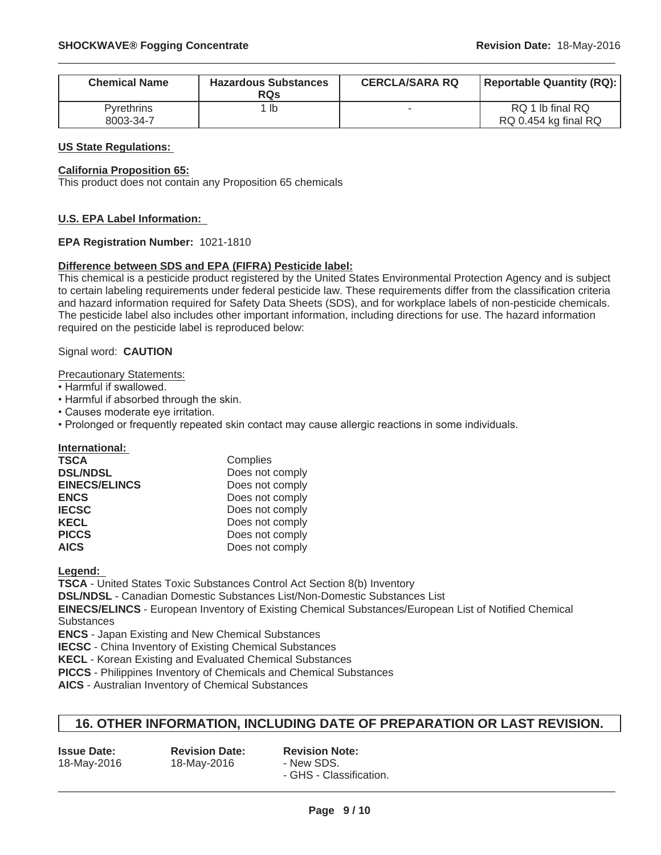| <b>Chemical Name</b>           | <b>Hazardous Substances</b><br><b>RQs</b> | <b>CERCLA/SARA RQ</b> | <b>Reportable Quantity (RQ):</b>         |
|--------------------------------|-------------------------------------------|-----------------------|------------------------------------------|
| <b>Pyrethrins</b><br>8003-34-7 | 1 Ib                                      |                       | RQ 1 lb final RQ<br>RQ 0.454 kg final RQ |

#### **US State Regulations:**

#### **California Proposition 65:**

This product does not contain any Proposition 65 chemicals

#### **U.S. EPA Label Information:**

#### **EPA Registration Number:** 1021-1810

#### **Difference between SDS and EPA (FIFRA) Pesticide label:**

This chemical is a pesticide product registered by the United States Environmental Protection Agency and is subject to certain labeling requirements under federal pesticide law. These requirements differ from the classification criteria and hazard information required for Safety Data Sheets (SDS), and for workplace labels of non-pesticide chemicals. The pesticide label also includes other important information, including directions for use. The hazard information required on the pesticide label is reproduced below:

#### Signal word: **CAUTION**

Precautionary Statements:

- Harmful if swallowed.
- Harmful if absorbed through the skin.
- Causes moderate eve irritation.
- Prolonged or frequently repeated skin contact may cause allergic reactions in some individuals.

**International:**

| TSCA                 | Complies        |
|----------------------|-----------------|
| <b>DSL/NDSL</b>      | Does not comply |
| <b>EINECS/ELINCS</b> | Does not comply |
| <b>ENCS</b>          | Does not comply |
| <b>IECSC</b>         | Does not comply |
| <b>KECL</b>          | Does not comply |
| <b>PICCS</b>         | Does not comply |
| AICS                 | Does not comply |

**Legend:**

**TSCA** - United States Toxic Substances Control Act Section 8(b) Inventory

**DSL/NDSL** - Canadian Domestic Substances List/Non-Domestic Substances List

**EINECS/ELINCS** - European Inventory of Existing Chemical Substances/European List of Notified Chemical **Substances** 

**ENCS** - Japan Existing and New Chemical Substances

**IECSC** - China Inventory of Existing Chemical Substances

**KECL** - Korean Existing and Evaluated Chemical Substances

**PICCS** - Philippines Inventory of Chemicals and Chemical Substances

**AICS** - Australian Inventory of Chemical Substances

### **16. OTHER INFORMATION, INCLUDING DATE OF PREPARATION OR LAST REVISION.**

| <b>Issue Date:</b> | <b>Revision Date:</b> | <b>Revision Note:</b>   |
|--------------------|-----------------------|-------------------------|
| 18-May-2016        | 18-May-2016           | - New SDS.              |
|                    |                       | - GHS - Classification. |